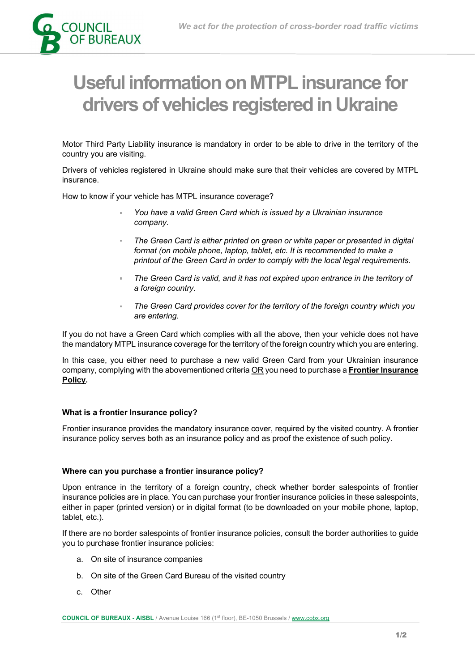

# Useful information on MTPL insurance for UNCIL<br>
FBUREAUX<br> **JSeful information on MTPL insurance for<br>
drivers of vehicles registered in Ukraine**<br>
Third Party Liability insurance is mandatory in order to be able to drive in the territory of the<br>
Third Party Liabili COUNCIL<br>
OF BUREAUX<br>
USEFUI Information on MTPL insurance for<br>
drivers of vehicles registered in Ukraine<br>
Motor Third Party Liability insurance is mandatory in order to be able to drive in the territory of the<br>
Dirvers of COUNCIL<br>
OF BUREAUX<br>
OF BUREAUX<br>
USEFUI information on MTPL insurance for<br>
drivers of vehicles registered in Ukraine<br>
Motor Third Party Liability insurance is mandatory in order to be able to drive in the territory of the<br> We act for the protection of cross-border road traffic victims<br> **You have a valid Creen Card Windows (SCREEN)**<br> **Sof Vehicles registered in Ukraine**<br>
Ability insurance is mandatory in order to be able to drive in the terri X<br> **Sof Vehicles registered in Ukraine**<br> **Sof Vehicles registered in Ukraine**<br> **ability insurance is mandatory in order to be able to drive in the territory of the**<br> **a**ng.<br> **a**ngestered in Ukraine should make sure that th **formation on MTPL insurance for**<br> **is of vehicles registered in Ukraine**<br>
ability insurance is mandatory in order to be able to drive in the territory of the<br>
ing.<br>
egistered in Ukraine should make sure that their vehicle **Information on MTPL insurance for**<br> **Sof vehicles registered in Ukraine**<br>
Hotelity insurance is mandatory in order to be able to drive in the territory of the<br>
registered in Ukraine should make sure that their vehicles ar **EXECUTE THE CONTROM COMPTER CONTROV**<br> **A formation** of **CONTROM CONTROV**<br> **A formation** of **CONTROM CONTROVIDY CONTROVIDY**<br> **A** formation Ukraine should make sure that their vehicles are covered by MTPL<br>
vehicle has MTPL

country you are visiting.

Drivers of vehicles registered in Ukraine should make sure that their vehicles are covered by MTPL insurance.

- company.
- printout of the Green Card in order to comply with the local legal requirements. **S Of Vehicles registered in Ukraine**<br>ability insurance is mandatory in order to be able to drive in the territory of the<br>ing.<br>egistered in Ukraine should make sure that their vehicles are covered by MTPL<br>vehicle has MTPL
- 
- are entering.

the mandatory MTPL insurance coverage for the territory of the foreign country which you are entering.

Motor Third Party Liability insurance is mandatory in order to be able to drive in the territory of the<br>country you are visiting.<br>Drivers of vehicles registered in Ukraine should make sure that their vehicles are covered country you are visiting.<br>
Insurance.<br>
Insurance.<br>
Insurance.<br>
How to know if your vehicle has MTPL insurance coverage?<br>
Insurance.<br>
In the Green Card is either printed on green or while paper or presented in digital<br>
form Drivers of vehicles registered in Ukraine should make sure that their vehicles are covered by MTPL<br>
Insurance.<br>
How to know if your vehicle has MTPL insurance coverage?<br>
"You have a valid Green Card which is issued by a Uk Policy.

# What is a frontier Insurance policy?

Frontier insurance provides the mandatory insurance cover, required by the visited country. A frontier insurance policy serves both as an insurance policy and as proof the existence of such policy.

# Where can you purchase a frontier insurance policy?

What is a frontier Insurance policy?<br>
Frontier insurance provides the mandatory insurance cover, required by the visited country. A frontier<br>
insurance policy serves both as an insurance policy and as proof the existence o Upon entrance in the territory of a foreign country, check whether border salespoints of frontier insurance policies are in place. You can purchase your frontier insurance policies in these salespoints, either in paper (printed version) or in digital format (to be downloaded on your mobile phone, laptop, tablet, etc.). is case, you either need to purchase a new valid Green Card from your Upany, complying with the abovementioned criteria <u>OR</u> you need to purchase a **E**<br> **2V.**<br> **at is a frontier Insurance policy?**<br> **at is a frontier Insura** pany, complying with the abovementioned criteria <u>OR</u> you need to purchase a Frequired to the View Card Bureau of the visited view of the visited countries in the visited of the visited of the visited country and a proof t **and the set of the matter insurance policy?**<br> **CONDITY:** The insurance provides the mandatory insurance cover, required by the visite<br>
rance policy serves both as an insurance policy and as proof the existence of<br> **Parame** 

If there are no border salespoints of frontier insurance policies, consult the border authorities to guide you to purchase frontier insurance policies:

- 
- 
-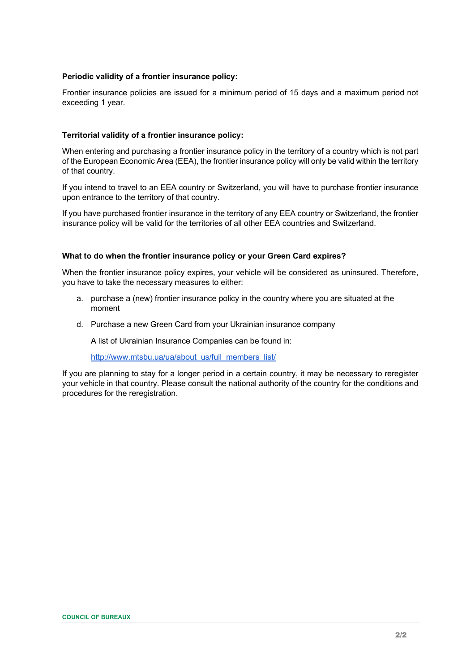# Periodic validity of a frontier insurance policy:

Frontier insurance policies are issued for a minimum period of 15 days and a maximum period not exceeding 1 year.

# Territorial validity of a frontier insurance policy:

When entering and purchasing a frontier insurance policy in the territory of a country which is not part of the European Economic Area (EEA), the frontier insurance policy will only be valid within the territory of that country.

If you intend to travel to an EEA country or Switzerland, you will have to purchase frontier insurance upon entrance to the territory of that country.

If you have purchased frontier insurance in the territory of any EEA country or Switzerland, the frontier insurance policy will be valid for the territories of all other EEA countries and Switzerland.

# What to do when the frontier insurance policy or your Green Card expires?

When the frontier insurance policy expires, your vehicle will be considered as uninsured. Therefore, you have to take the necessary measures to either:

- a. purchase a (new) frontier insurance policy in the country where you are situated at the moment
- d. Purchase a new Green Card from your Ukrainian insurance company

A list of Ukrainian Insurance Companies can be found in:

http://www.mtsbu.ua/ua/about\_us/full\_members\_list/

If you are planning to stay for a longer period in a certain country, it may be necessary to reregister your vehicle in that country. Please consult the national authority of the country for the conditions and procedures for the reregistration.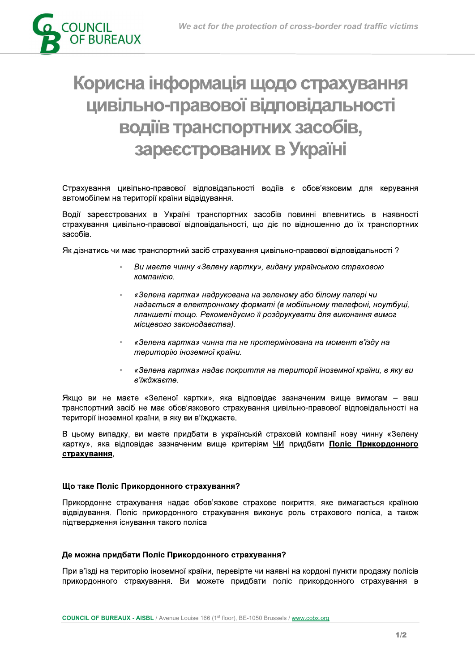

# Корисна інформація щодо страхування цивільно-правової відповідальності водіїв транспортних засобів, зареєстрованих в Україні

Страхування цивільно-правової відповідальності водіїв є обов'язковим для керування автомобілем на території країни відвідування.

Водії зареєстрованих в Україні транспортних засобів повинні впевнитись в наявності страхування цивільно-правової відповідальності, що діє по відношенню до їх транспортних засобів.

Як дізнатись чи має транспортний засіб страхування цивільно-правової відповідальності?

- Ви маєте чинну «Зелену картку», видану українською страховою компанією.
- «Зелена картка» надрукована на зеленому або білому папері чи надається в електронному форматі (в мобільному телефоні, ноутбуці, планшеті тощо. Рекомендуємо її роздрукувати для виконання вимог ). The contract of  $\mathcal{L}$  is the contract of  $\mathcal{L}$
- «Зелена картка» чинна та не протермінована на момент в'їзду на територію іноземної країни.
- «Зелена картка» надає покриття на території іноземної країни, в яку ви в'їжджаєте.

Якшо ви не маєте «Зеленої картки», яка відповідає зазначеним вище вимогам - ваш транспортний засіб не має обов'язкового страхування цивільно-правової відповідальності на

страхування,

практиоры и маке соверания и дели соверания с практики с практики с практики с практики и соверания с высому випадку, ви макете придбати в українській страховій компанії нову чинну «Зепену картку», яка відповідає зазначен